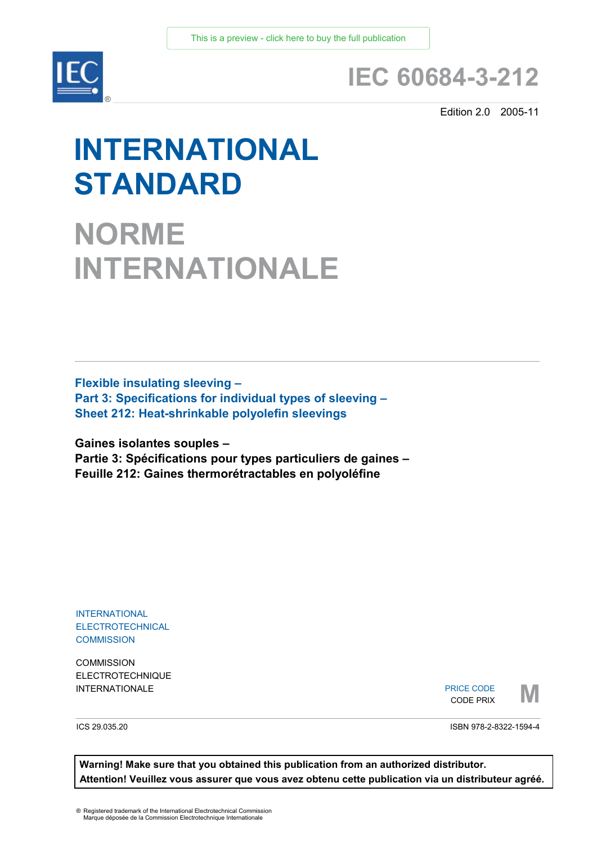

# **IEC 60684-3-212**

Edition 2.0 2005-11

# **INTERNATIONAL STANDARD**

**NORME INTERNATIONALE**

**Flexible insulating sleeving – Part 3: Specifications for individual types of sleeving – Sheet 212: Heat-shrinkable polyolefin sleevings**

**Gaines isolantes souples – Partie 3: Spécifications pour types particuliers de gaines – Feuille 212: Gaines thermorétractables en polyoléfine**

INTERNATIONAL **ELECTROTECHNICAL COMMISSION** 

**COMMISSION** ELECTROTECHNIQUE

INTERNATIONALE PRICE CODE PRIX PRICE CODE CODE PRIX



ICS 29.035.20

ISBN 978-2-8322-1594-4

**Warning! Make sure that you obtained this publication from an authorized distributor. Attention! Veuillez vous assurer que vous avez obtenu cette publication via un distributeur agréé.**

® Registered trademark of the International Electrotechnical Commission Marque déposée de la Commission Electrotechnique Internationale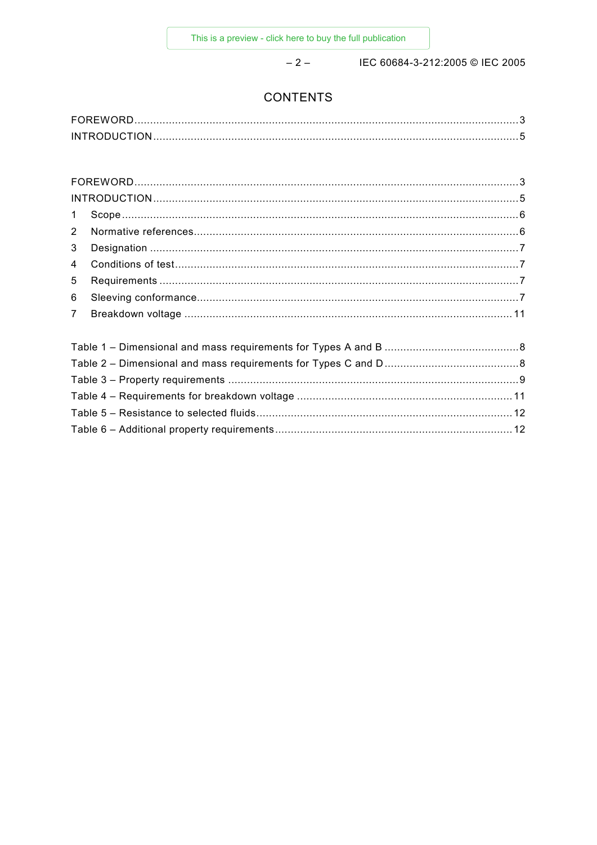$-2-$ 

IEC 60684-3-212:2005 © IEC 2005

# **CONTENTS**

| $\mathbf{1}$   |  |
|----------------|--|
| $\overline{2}$ |  |
| 3              |  |
| 4              |  |
| 5              |  |
| 6              |  |
| $\overline{7}$ |  |
|                |  |
|                |  |
|                |  |
|                |  |
|                |  |
|                |  |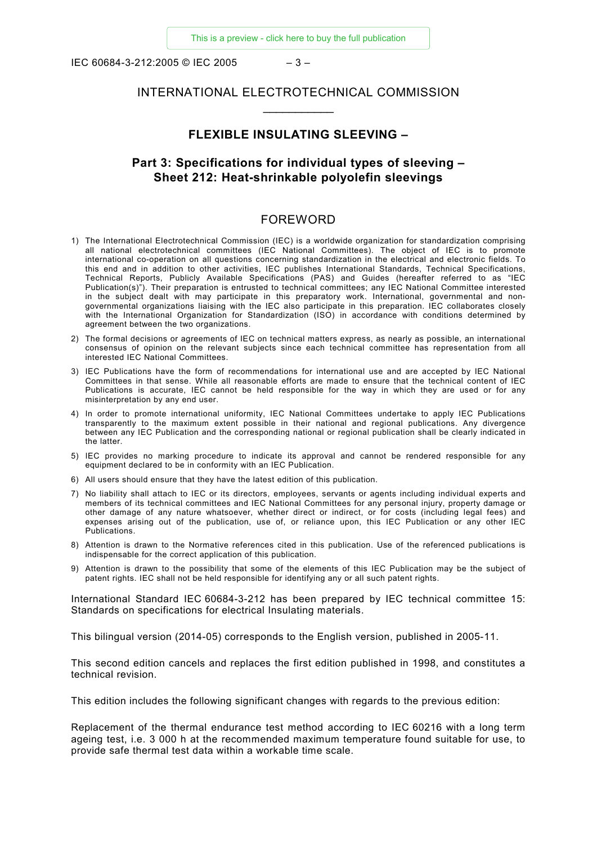IEC 60684-3-212:2005 © IEC 2005 – 3 –

# INTERNATIONAL ELECTROTECHNICAL COMMISSION  $\overline{\phantom{a}}$

#### **FLEXIBLE INSULATING SLEEVING –**

# **Part 3: Specifications for individual types of sleeving – Sheet 212: Heat-shrinkable polyolefin sleevings**

#### FOREWORD

- <span id="page-2-0"></span>1) The International Electrotechnical Commission (IEC) is a worldwide organization for standardization comprising all national electrotechnical committees (IEC National Committees). The object of IEC is to promote international co-operation on all questions concerning standardization in the electrical and electronic fields. To this end and in addition to other activities, IEC publishes International Standards, Technical Specifications, Technical Reports, Publicly Available Specifications (PAS) and Guides (hereafter referred to as "IEC Publication(s)"). Their preparation is entrusted to technical committees; any IEC National Committee interested in the subject dealt with may participate in this preparatory work. International, governmental and nongovernmental organizations liaising with the IEC also participate in this preparation. IEC collaborates closely with the International Organization for Standardization (ISO) in accordance with conditions determined by agreement between the two organizations.
- 2) The formal decisions or agreements of IEC on technical matters express, as nearly as possible, an international consensus of opinion on the relevant subjects since each technical committee has representation from all interested IEC National Committees.
- 3) IEC Publications have the form of recommendations for international use and are accepted by IEC National Committees in that sense. While all reasonable efforts are made to ensure that the technical content of IEC Publications is accurate, IEC cannot be held responsible for the way in which they are used or for any misinterpretation by any end user.
- 4) In order to promote international uniformity, IEC National Committees undertake to apply IEC Publications transparently to the maximum extent possible in their national and regional publications. Any divergence between any IEC Publication and the corresponding national or regional publication shall be clearly indicated in the latter.
- 5) IEC provides no marking procedure to indicate its approval and cannot be rendered responsible for any equipment declared to be in conformity with an IEC Publication.
- 6) All users should ensure that they have the latest edition of this publication.
- 7) No liability shall attach to IEC or its directors, employees, servants or agents including individual experts and members of its technical committees and IEC National Committees for any personal injury, property damage or other damage of any nature whatsoever, whether direct or indirect, or for costs (including legal fees) and expenses arising out of the publication, use of, or reliance upon, this IEC Publication or any other IEC Publications.
- 8) Attention is drawn to the Normative references cited in this publication. Use of the referenced publications is indispensable for the correct application of this publication.
- 9) Attention is drawn to the possibility that some of the elements of this IEC Publication may be the subject of patent rights. IEC shall not be held responsible for identifying any or all such patent rights.

International Standard IEC 60684-3-212 has been prepared by IEC technical committee 15: Standards on specifications for electrical Insulating materials.

This bilingual version (2014-05) corresponds to the English version, published in 2005-11.

This second edition cancels and replaces the first edition published in 1998, and constitutes a technical revision.

This edition includes the following significant changes with regards to the previous edition:

Replacement of the thermal endurance test method according to IEC 60216 with a long term ageing test, i.e. 3 000 h at the recommended maximum temperature found suitable for use, to provide safe thermal test data within a workable time scale.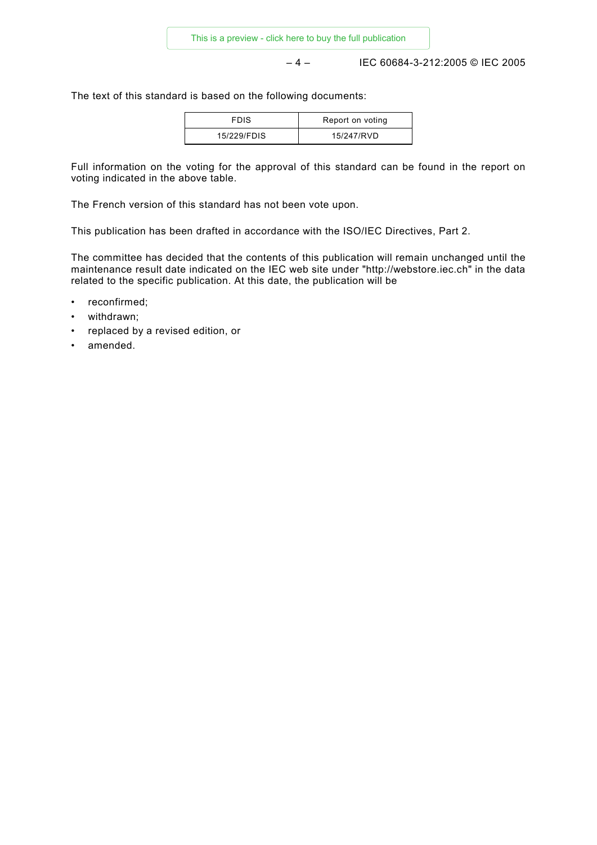– 4 – IEC 60684-3-212:2005 © IEC 2005

The text of this standard is based on the following documents:

| <b>FDIS</b> | Report on voting |
|-------------|------------------|
| 15/229/FDIS | 15/247/RVD       |

Full information on the voting for the approval of this standard can be found in the report on voting indicated in the above table.

The French version of this standard has not been vote upon.

This publication has been drafted in accordance with the ISO/IEC Directives, Part 2.

The committee has decided that the contents of this publication will remain unchanged until the maintenance result date indicated on the IEC web site under "http://webstore.iec.ch" in the data related to the specific publication. At this date, the publication will be

- reconfirmed;
- withdrawn;
- replaced by a revised edition, or
- amended.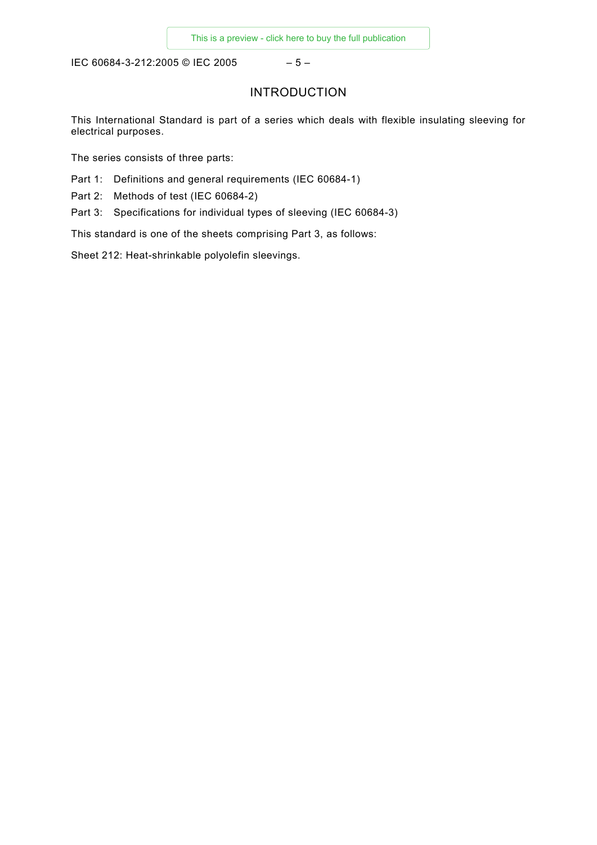IEC 60684-3-212:2005 © IEC 2005 – 5 –

# INTRODUCTION

<span id="page-4-0"></span>This International Standard is part of a series which deals with flexible insulating sleeving for electrical purposes.

The series consists of three parts:

- Part 1: Definitions and general requirements (IEC 60684-1)
- Part 2: Methods of test (IEC 60684-2)
- Part 3: Specifications for individual types of sleeving (IEC 60684-3)

This standard is one of the sheets comprising Part 3, as follows:

Sheet 212: Heat-shrinkable polyolefin sleevings.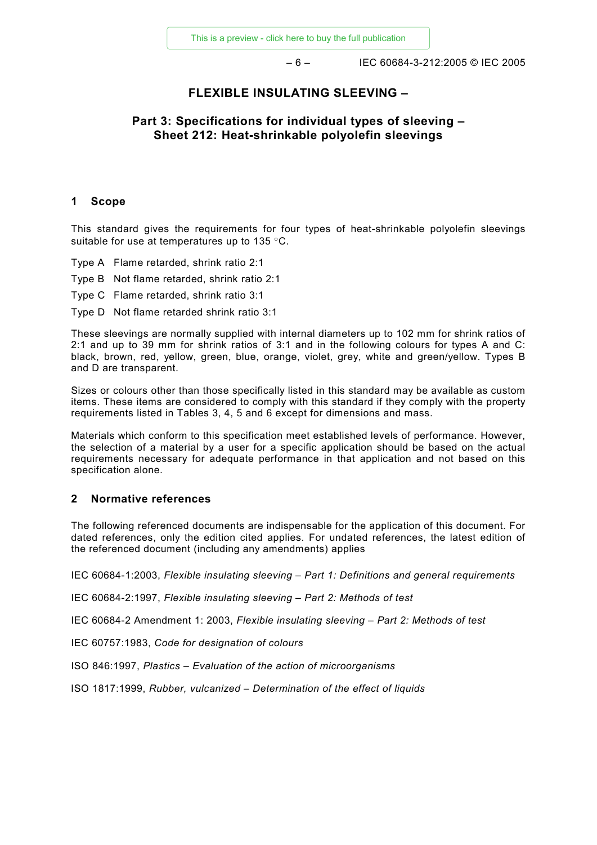– 6 – IEC 60684-3-212:2005 © IEC 2005

# **FLEXIBLE INSULATING SLEEVING –**

# **Part 3: Specifications for individual types of sleeving – Sheet 212: Heat-shrinkable polyolefin sleevings**

#### **1 Scope**

This standard gives the requirements for four types of heat-shrinkable polyolefin sleevings suitable for use at temperatures up to 135 °C.

- Type A Flame retarded, shrink ratio 2:1
- Type B Not flame retarded, shrink ratio 2:1
- Type C Flame retarded, shrink ratio 3:1
- Type D Not flame retarded shrink ratio 3:1

These sleevings are normally supplied with internal diameters up to 102 mm for shrink ratios of 2:1 and up to 39 mm for shrink ratios of 3:1 and in the following colours for types A and C: black, brown, red, yellow, green, blue, orange, violet, grey, white and green/yellow. Types B and D are transparent.

Sizes or colours other than those specifically listed in this standard may be available as custom items. These items are considered to comply with this standard if they comply with the property requirements listed in Tables 3, 4, 5 and 6 except for dimensions and mass.

Materials which conform to this specification meet established levels of performance. However, the selection of a material by a user for a specific application should be based on the actual requirements necessary for adequate performance in that application and not based on this specification alone.

#### **2 Normative references**

The following referenced documents are indispensable for the application of this document. For dated references, only the edition cited applies. For undated references, the latest edition of the referenced document (including any amendments) applies

IEC 60684-1:2003, *Flexible insulating sleeving – Part 1: Definitions and general requirements*

IEC 60684-2:1997, *Flexible insulating sleeving – Part 2: Methods of test* 

IEC 60684-2 Amendment 1: 2003, *Flexible insulating sleeving – Part 2: Methods of test*

IEC 60757:1983, *Code for designation of colours*

ISO 846:1997, *Plastics – Evaluation of the action of microorganisms*

ISO 1817:1999, *Rubber, vulcanized – Determination of the effect of liquids*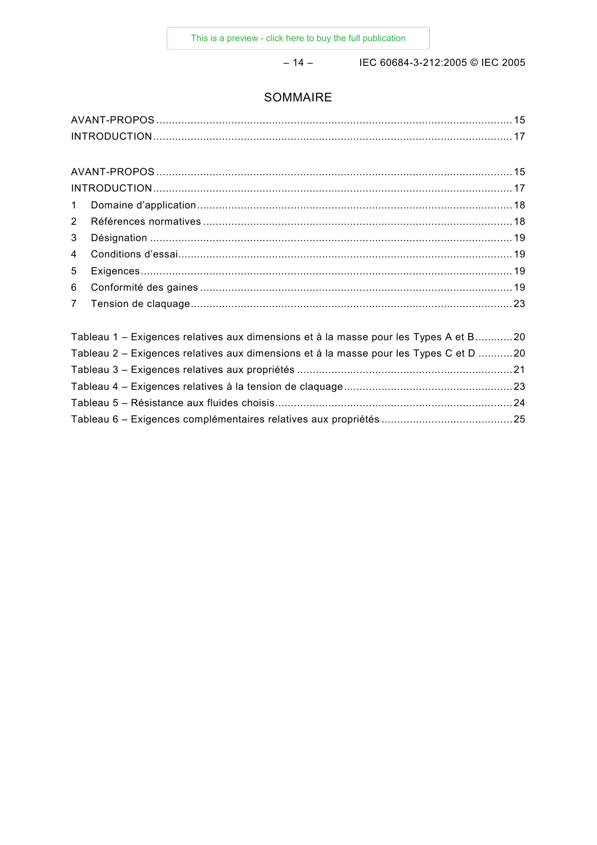$-14-$ 

IEC 60684-3-212:2005 © IEC 2005

# SOMMAIRE

| $\mathbf{1}$   |                                                                                       |  |
|----------------|---------------------------------------------------------------------------------------|--|
| $\overline{2}$ |                                                                                       |  |
| 3              |                                                                                       |  |
| 4              |                                                                                       |  |
| 5              |                                                                                       |  |
| 6              |                                                                                       |  |
| $\overline{7}$ |                                                                                       |  |
|                | Tableau 1 – Exigences relatives aux dimensions et à la masse pour les Types A et B20  |  |
|                | Tableau 2 - Exigences relatives aux dimensions et à la masse pour les Types C et D 20 |  |
|                |                                                                                       |  |
|                |                                                                                       |  |
|                |                                                                                       |  |
|                |                                                                                       |  |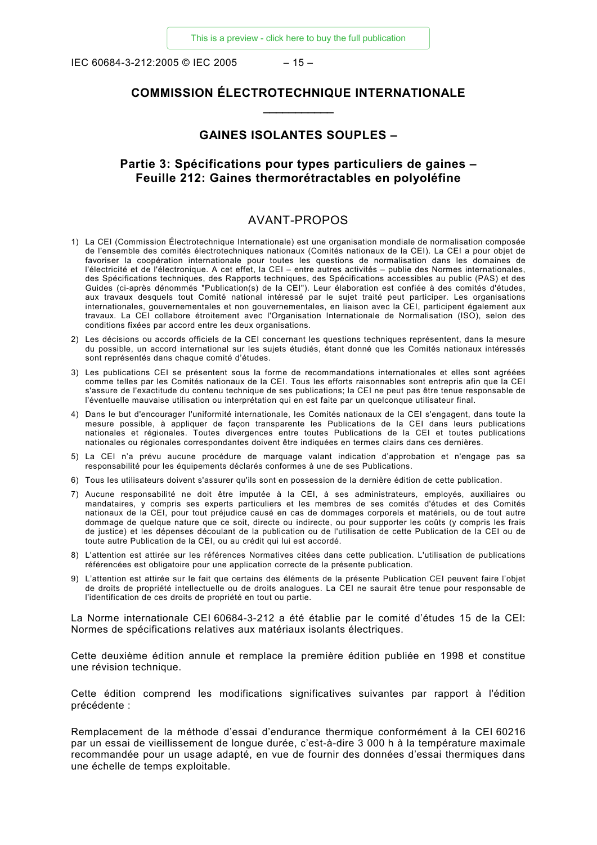IEC 60684-3-212:2005 © IEC 2005 – 15 –

# **COMMISSION ÉLECTROTECHNIQUE INTERNATIONALE \_\_\_\_\_\_\_\_\_\_\_**

#### **GAINES ISOLANTES SOUPLES –**

# **Partie 3: Spécifications pour types particuliers de gaines – Feuille 212: Gaines thermorétractables en polyoléfine**

#### AVANT-PROPOS

- <span id="page-7-0"></span>1) La CEI (Commission Électrotechnique Internationale) est une organisation mondiale de normalisation composée de l'ensemble des comités électrotechniques nationaux (Comités nationaux de la CEI). La CEI a pour objet de favoriser la coopération internationale pour toutes les questions de normalisation dans les domaines de l'électricité et de l'électronique. A cet effet, la CEI – entre autres activités – publie des Normes internationales, des Spécifications techniques, des Rapports techniques, des Spécifications accessibles au public (PAS) et des Guides (ci-après dénommés "Publication(s) de la CEI"). Leur élaboration est confiée à des comités d'études, aux travaux desquels tout Comité national intéressé par le sujet traité peut participer. Les organisations internationales, gouvernementales et non gouvernementales, en liaison avec la CEI, participent également aux travaux. La CEI collabore étroitement avec l'Organisation Internationale de Normalisation (ISO), selon des conditions fixées par accord entre les deux organisations.
- 2) Les décisions ou accords officiels de la CEI concernant les questions techniques représentent, dans la mesure du possible, un accord international sur les sujets étudiés, étant donné que les Comités nationaux intéressés sont représentés dans chaque comité d'études.
- 3) Les publications CEI se présentent sous la forme de recommandations internationales et elles sont agréées comme telles par les Comités nationaux de la CEI. Tous les efforts raisonnables sont entrepris afin que la CEI s'assure de l'exactitude du contenu technique de ses publications; la CEI ne peut pas être tenue responsable de l'éventuelle mauvaise utilisation ou interprétation qui en est faite par un quelconque utilisateur final.
- 4) Dans le but d'encourager l'uniformité internationale, les Comités nationaux de la CEI s'engagent, dans toute la mesure possible, à appliquer de façon transparente les Publications de la CEI dans leurs publications nationales et régionales. Toutes divergences entre toutes Publications de la CEI et toutes publications nationales ou régionales correspondantes doivent être indiquées en termes clairs dans ces dernières.
- 5) La CEI n'a prévu aucune procédure de marquage valant indication d'approbation et n'engage pas sa responsabilité pour les équipements déclarés conformes à une de ses Publications.
- 6) Tous les utilisateurs doivent s'assurer qu'ils sont en possession de la dernière édition de cette publication.
- 7) Aucune responsabilité ne doit être imputée à la CEI, à ses administrateurs, employés, auxiliaires ou mandataires, y compris ses experts particuliers et les membres de ses comités d'études et des Comités nationaux de la CEI, pour tout préjudice causé en cas de dommages corporels et matériels, ou de tout autre dommage de quelque nature que ce soit, directe ou indirecte, ou pour supporter les coûts (y compris les frais de justice) et les dépenses découlant de la publication ou de l'utilisation de cette Publication de la CEI ou de toute autre Publication de la CEI, ou au crédit qui lui est accordé.
- 8) L'attention est attirée sur les références Normatives citées dans cette publication. L'utilisation de publications référencées est obligatoire pour une application correcte de la présente publication.
- 9) L'attention est attirée sur le fait que certains des éléments de la présente Publication CEI peuvent faire l'objet de droits de propriété intellectuelle ou de droits analogues. La CEI ne saurait être tenue pour responsable de l'identification de ces droits de propriété en tout ou partie.

La Norme internationale CEI 60684-3-212 a été établie par le comité d'études 15 de la CEI: Normes de spécifications relatives aux matériaux isolants électriques.

Cette deuxième édition annule et remplace la première édition publiée en 1998 et constitue une révision technique.

Cette édition comprend les modifications significatives suivantes par rapport à l'édition précédente :

Remplacement de la méthode d'essai d'endurance thermique conformément à la CEI 60216 par un essai de vieillissement de longue durée, c'est-à-dire 3 000 h à la température maximale recommandée pour un usage adapté, en vue de fournir des données d'essai thermiques dans une échelle de temps exploitable.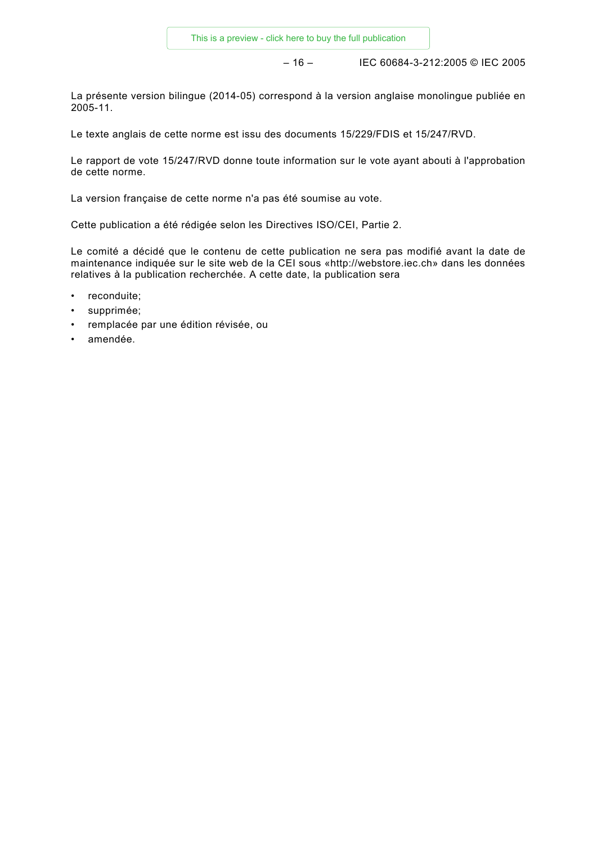– 16 – IEC 60684-3-212:2005 © IEC 2005

La présente version bilingue (2014-05) correspond à la version anglaise monolingue publiée en 2005-11.

Le texte anglais de cette norme est issu des documents 15/229/FDIS et 15/247/RVD.

Le rapport de vote 15/247/RVD donne toute information sur le vote ayant abouti à l'approbation de cette norme.

La version française de cette norme n'a pas été soumise au vote.

Cette publication a été rédigée selon les Directives ISO/CEI, Partie 2.

Le comité a décidé que le contenu de cette publication ne sera pas modifié avant la date de maintenance indiquée sur le site web de la CEI sous «http://webstore.iec.ch» dans les données relatives à la publication recherchée. A cette date, la publication sera

- reconduite:
- supprimée;
- remplacée par une édition révisée, ou
- amendée.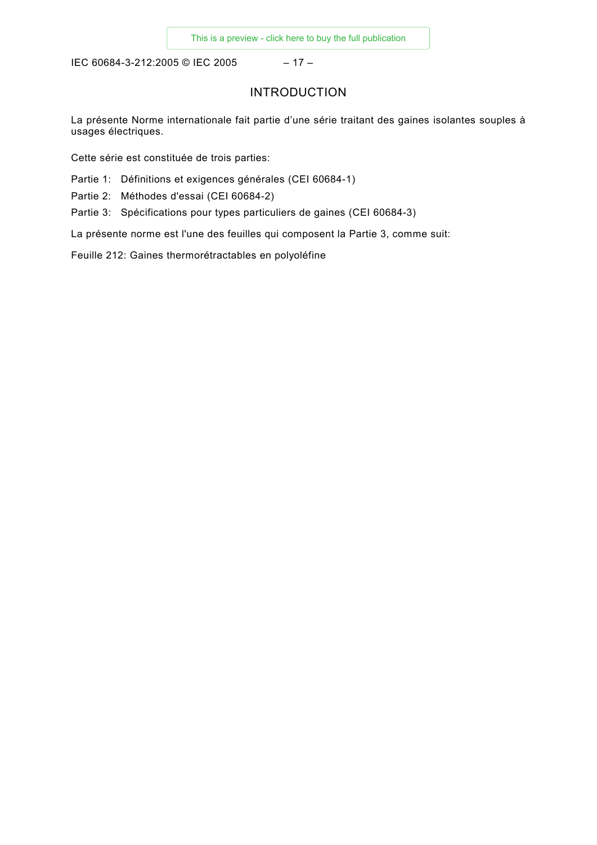IEC 60684-3-212:2005 © IEC 2005 – 17 –

# INTRODUCTION

<span id="page-9-0"></span>La présente Norme internationale fait partie d'une série traitant des gaines isolantes souples à usages électriques.

Cette série est constituée de trois parties:

- Partie 1: Définitions et exigences générales (CEI 60684-1)
- Partie 2: Méthodes d'essai (CEI 60684-2)
- Partie 3: Spécifications pour types particuliers de gaines (CEI 60684-3)

La présente norme est l'une des feuilles qui composent la Partie 3, comme suit:

Feuille 212: Gaines thermorétractables en polyoléfine